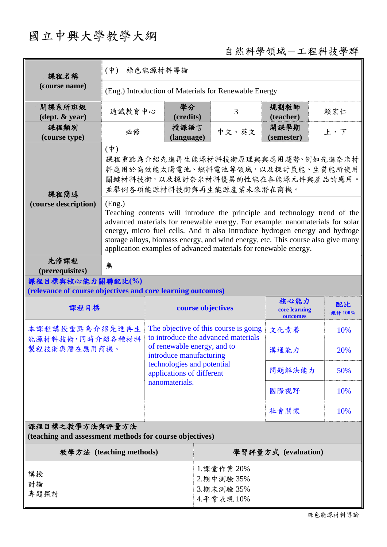# 國立中興大學教學大綱

## 自然科學領域-工程科技學群

| 課程名稱                                                                            | $(\dot{\Psi})$<br>綠色能源材料導論                                                                                                                                                                                                                                                                                                                                                                                   |                                                                              |                                                        |                                                      |                                   |               |  |  |
|---------------------------------------------------------------------------------|--------------------------------------------------------------------------------------------------------------------------------------------------------------------------------------------------------------------------------------------------------------------------------------------------------------------------------------------------------------------------------------------------------------|------------------------------------------------------------------------------|--------------------------------------------------------|------------------------------------------------------|-----------------------------------|---------------|--|--|
| (course name)                                                                   | (Eng.) Introduction of Materials for Renewable Energy                                                                                                                                                                                                                                                                                                                                                        |                                                                              |                                                        |                                                      |                                   |               |  |  |
| 開課系所班級<br>$(\text{dept.} \& \text{ year})$                                      | 通識教育中心                                                                                                                                                                                                                                                                                                                                                                                                       |                                                                              | 學分<br>3<br>(credits)                                   |                                                      | 規劃教師<br>(teacher)                 | 賴宏仁           |  |  |
| 課程類別<br>(course type)                                                           | 必修                                                                                                                                                                                                                                                                                                                                                                                                           |                                                                              | 授課語言<br>(language)                                     | 中文、英文                                                | 開課學期<br>(semester)                | 上、下           |  |  |
| 課程簡述                                                                            | $(\dagger)$<br>課程重點為介紹先進再生能源材料技術原理與與應用趨勢、例如先進奈米材<br>料應用於高效能太陽電池、燃料電池等領域,以及探討氫能、生質能所使用<br>關鍵材料技術,以及探討奈米材料優異的性能在各能源元件與產品的應用。<br>並舉例各項能源材料技術與再生能源產業未來潛在商機。                                                                                                                                                                                                                                                      |                                                                              |                                                        |                                                      |                                   |               |  |  |
| (course description)                                                            | (Eng.)<br>Teaching contents will introduce the principle and technology trend of the<br>advanced materials for renewable energy. For example: nanomaterials for solar<br>energy, micro fuel cells. And it also introduce hydrogen energy and hydroge<br>storage alloys, biomass energy, and wind energy, etc. This course also give many<br>application examples of advanced materials for renewable energy. |                                                                              |                                                        |                                                      |                                   |               |  |  |
| 先修課程<br>(prerequisites)                                                         | 無                                                                                                                                                                                                                                                                                                                                                                                                            |                                                                              |                                                        |                                                      |                                   |               |  |  |
| 課程目標與核心能力關聯配比(%)<br>(relevance of course objectives and core learning outcomes) |                                                                                                                                                                                                                                                                                                                                                                                                              |                                                                              |                                                        |                                                      |                                   |               |  |  |
| 課程目標                                                                            |                                                                                                                                                                                                                                                                                                                                                                                                              | course objectives                                                            |                                                        |                                                      | 核心能力<br>core learning<br>outcomes | 配比<br>總計 100% |  |  |
| 本課程講授重點為介紹先進再生<br>能源材料技術,同時介紹各種材料                                               |                                                                                                                                                                                                                                                                                                                                                                                                              | The objective of this course is going<br>to introduce the advanced materials |                                                        |                                                      | 文化素養                              | 10%           |  |  |
| 製程技術與潛在應用商機。                                                                    |                                                                                                                                                                                                                                                                                                                                                                                                              |                                                                              | of renewable energy, and to<br>introduce manufacturing |                                                      | 溝通能力                              | 20%           |  |  |
|                                                                                 |                                                                                                                                                                                                                                                                                                                                                                                                              | technologies and potential<br>applications of different                      |                                                        |                                                      | 問題解決能力                            | 50%           |  |  |
|                                                                                 |                                                                                                                                                                                                                                                                                                                                                                                                              | nanomaterials.                                                               |                                                        |                                                      | 國際視野                              | 10%           |  |  |
|                                                                                 | 社會關懷                                                                                                                                                                                                                                                                                                                                                                                                         |                                                                              |                                                        |                                                      | 10%                               |               |  |  |
| 課程目標之教學方法與評量方法<br>(teaching and assessment methods for course objectives)       |                                                                                                                                                                                                                                                                                                                                                                                                              |                                                                              |                                                        |                                                      |                                   |               |  |  |
| 教學方法 (teaching methods)                                                         |                                                                                                                                                                                                                                                                                                                                                                                                              |                                                                              |                                                        | 學習評量方式 (evaluation)                                  |                                   |               |  |  |
| 講授<br>討論<br>專題探討                                                                |                                                                                                                                                                                                                                                                                                                                                                                                              |                                                                              |                                                        | 1. 課堂作業 20%<br>2.期中測驗 35%<br>3.期末測驗 35%<br>4.平常表現10% |                                   |               |  |  |